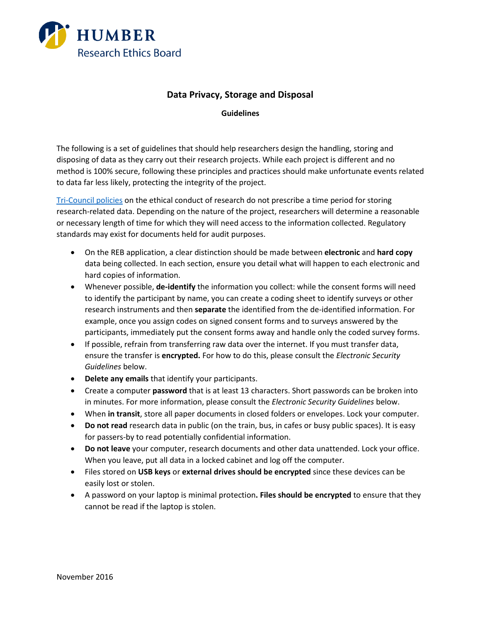

### **Data Privacy, Storage and Disposal**

**Guidelines**

The following is a set of guidelines that should help researchers design the handling, storing and disposing of data as they carry out their research projects. While each project is different and no method is 100% secure, following these principles and practices should make unfortunate events related to data far less likely, protecting the integrity of the project.

[Tri-Council policies](http://pre.ethics.gc.ca/eng/policy-politique/initiatives/tcps2-eptc2/Default/) on the ethical conduct of research do not prescribe a time period for storing research-related data. Depending on the nature of the project, researchers will determine a reasonable or necessary length of time for which they will need access to the information collected. Regulatory standards may exist for documents held for audit purposes.

- On the REB application, a clear distinction should be made between **electronic** and **hard copy**  data being collected. In each section, ensure you detail what will happen to each electronic and hard copies of information.
- Whenever possible, **de-identify** the information you collect: while the consent forms will need to identify the participant by name, you can create a coding sheet to identify surveys or other research instruments and then **separate** the identified from the de-identified information. For example, once you assign codes on signed consent forms and to surveys answered by the participants, immediately put the consent forms away and handle only the coded survey forms.
- If possible, refrain from transferring raw data over the internet. If you must transfer data, ensure the transfer is **encrypted.** For how to do this, please consult the *Electronic Security Guidelines* below.
- **Delete any emails** that identify your participants.
- Create a computer **password** that is at least 13 characters. Short passwords can be broken into in minutes. For more information, please consult the *Electronic Security Guidelines* below.
- When **in transit**, store all paper documents in closed folders or envelopes. Lock your computer.
- **Do not read** research data in public (on the train, bus, in cafes or busy public spaces). It is easy for passers-by to read potentially confidential information.
- **Do not leave** your computer, research documents and other data unattended. Lock your office. When you leave, put all data in a locked cabinet and log off the computer.
- Files stored on **USB keys** or **external drives should be encrypted** since these devices can be easily lost or stolen.
- A password on your laptop is minimal protection**. Files should be encrypted** to ensure that they cannot be read if the laptop is stolen.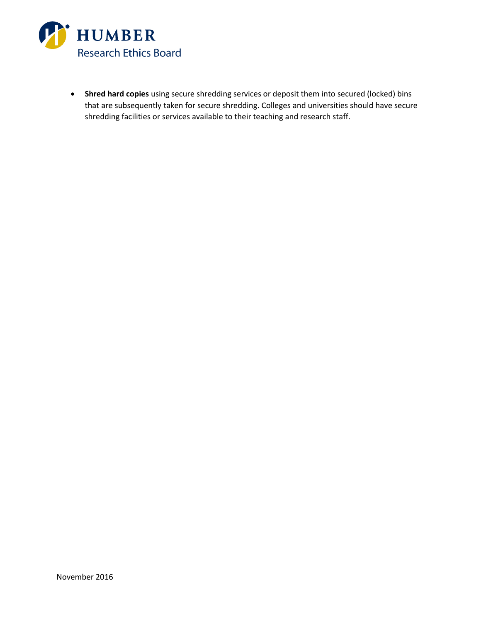

• **Shred hard copies** using secure shredding services or deposit them into secured (locked) bins that are subsequently taken for secure shredding. Colleges and universities should have secure shredding facilities or services available to their teaching and research staff.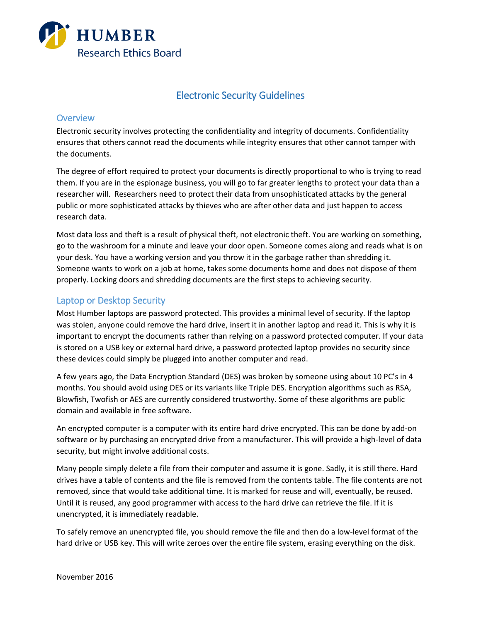

# Electronic Security Guidelines

### **Overview**

Electronic security involves protecting the confidentiality and integrity of documents. Confidentiality ensures that others cannot read the documents while integrity ensures that other cannot tamper with the documents.

The degree of effort required to protect your documents is directly proportional to who is trying to read them. If you are in the espionage business, you will go to far greater lengths to protect your data than a researcher will. Researchers need to protect their data from unsophisticated attacks by the general public or more sophisticated attacks by thieves who are after other data and just happen to access research data.

Most data loss and theft is a result of physical theft, not electronic theft. You are working on something, go to the washroom for a minute and leave your door open. Someone comes along and reads what is on your desk. You have a working version and you throw it in the garbage rather than shredding it. Someone wants to work on a job at home, takes some documents home and does not dispose of them properly. Locking doors and shredding documents are the first steps to achieving security.

## Laptop or Desktop Security

Most Humber laptops are password protected. This provides a minimal level of security. If the laptop was stolen, anyone could remove the hard drive, insert it in another laptop and read it. This is why it is important to encrypt the documents rather than relying on a password protected computer. If your data is stored on a USB key or external hard drive, a password protected laptop provides no security since these devices could simply be plugged into another computer and read.

A few years ago, the Data Encryption Standard (DES) was broken by someone using about 10 PC's in 4 months. You should avoid using DES or its variants like Triple DES. Encryption algorithms such as RSA, Blowfish, Twofish or AES are currently considered trustworthy. Some of these algorithms are public domain and available in free software.

An encrypted computer is a computer with its entire hard drive encrypted. This can be done by add-on software or by purchasing an encrypted drive from a manufacturer. This will provide a high-level of data security, but might involve additional costs.

Many people simply delete a file from their computer and assume it is gone. Sadly, it is still there. Hard drives have a table of contents and the file is removed from the contents table. The file contents are not removed, since that would take additional time. It is marked for reuse and will, eventually, be reused. Until it is reused, any good programmer with access to the hard drive can retrieve the file. If it is unencrypted, it is immediately readable.

To safely remove an unencrypted file, you should remove the file and then do a low-level format of the hard drive or USB key. This will write zeroes over the entire file system, erasing everything on the disk.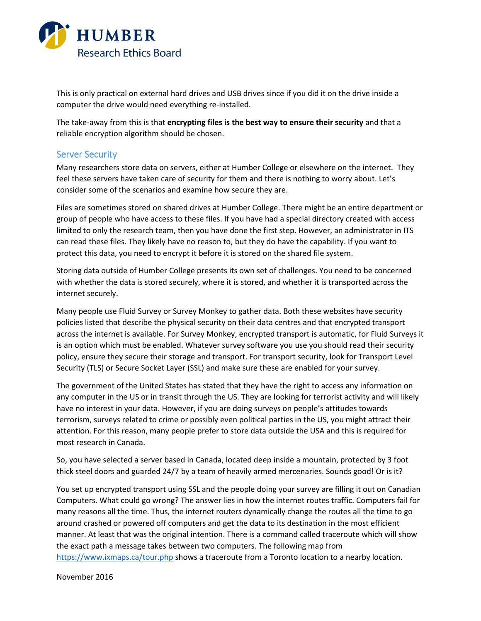

This is only practical on external hard drives and USB drives since if you did it on the drive inside a computer the drive would need everything re-installed.

The take-away from this is that **encrypting files is the best way to ensure their security** and that a reliable encryption algorithm should be chosen.

### Server Security

Many researchers store data on servers, either at Humber College or elsewhere on the internet. They feel these servers have taken care of security for them and there is nothing to worry about. Let's consider some of the scenarios and examine how secure they are.

Files are sometimes stored on shared drives at Humber College. There might be an entire department or group of people who have access to these files. If you have had a special directory created with access limited to only the research team, then you have done the first step. However, an administrator in ITS can read these files. They likely have no reason to, but they do have the capability. If you want to protect this data, you need to encrypt it before it is stored on the shared file system.

Storing data outside of Humber College presents its own set of challenges. You need to be concerned with whether the data is stored securely, where it is stored, and whether it is transported across the internet securely.

Many people use Fluid Survey or Survey Monkey to gather data. Both these websites have security policies listed that describe the physical security on their data centres and that encrypted transport across the internet is available. For Survey Monkey, encrypted transport is automatic, for Fluid Surveys it is an option which must be enabled. Whatever survey software you use you should read their security policy, ensure they secure their storage and transport. For transport security, look for Transport Level Security (TLS) or Secure Socket Layer (SSL) and make sure these are enabled for your survey.

The government of the United States has stated that they have the right to access any information on any computer in the US or in transit through the US. They are looking for terrorist activity and will likely have no interest in your data. However, if you are doing surveys on people's attitudes towards terrorism, surveys related to crime or possibly even political parties in the US, you might attract their attention. For this reason, many people prefer to store data outside the USA and this is required for most research in Canada.

So, you have selected a server based in Canada, located deep inside a mountain, protected by 3 foot thick steel doors and guarded 24/7 by a team of heavily armed mercenaries. Sounds good! Or is it?

You set up encrypted transport using SSL and the people doing your survey are filling it out on Canadian Computers. What could go wrong? The answer lies in how the internet routes traffic. Computers fail for many reasons all the time. Thus, the internet routers dynamically change the routes all the time to go around crashed or powered off computers and get the data to its destination in the most efficient manner. At least that was the original intention. There is a command called traceroute which will show the exact path a message takes between two computers. The following map from <https://www.ixmaps.ca/tour.php> shows a traceroute from a Toronto location to a nearby location.

November 2016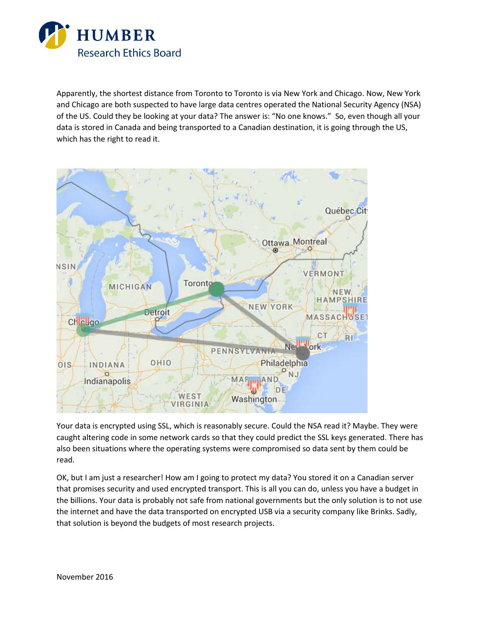

Apparently, the shortest distance from Toronto to Toronto is via New York and Chicago. Now, New York and Chicago are both suspected to have large data centres operated the National Security Agency (NSA) of the US. Could they be looking at your data? The answer is: "No one knows." So, even though all your data is stored in Canada and being transported to a Canadian destination, it is going through the US, which has the right to read it.



Your data is encrypted using SSL, which is reasonably secure. Could the NSA read it? Maybe. They were caught altering code in some network cards so that they could predict the SSL keys generated. There has also been situations where the operating systems were compromised so data sent by them could be read.

OK, but I am just a researcher! How am I going to protect my data? You stored it on a Canadian server that promises security and used encrypted transport. This is all you can do, unless you have a budget in the billions. Your data is probably not safe from national governments but the only solution is to not use the internet and have the data transported on encrypted USB via a security company like Brinks. Sadly, that solution is beyond the budgets of most research projects.